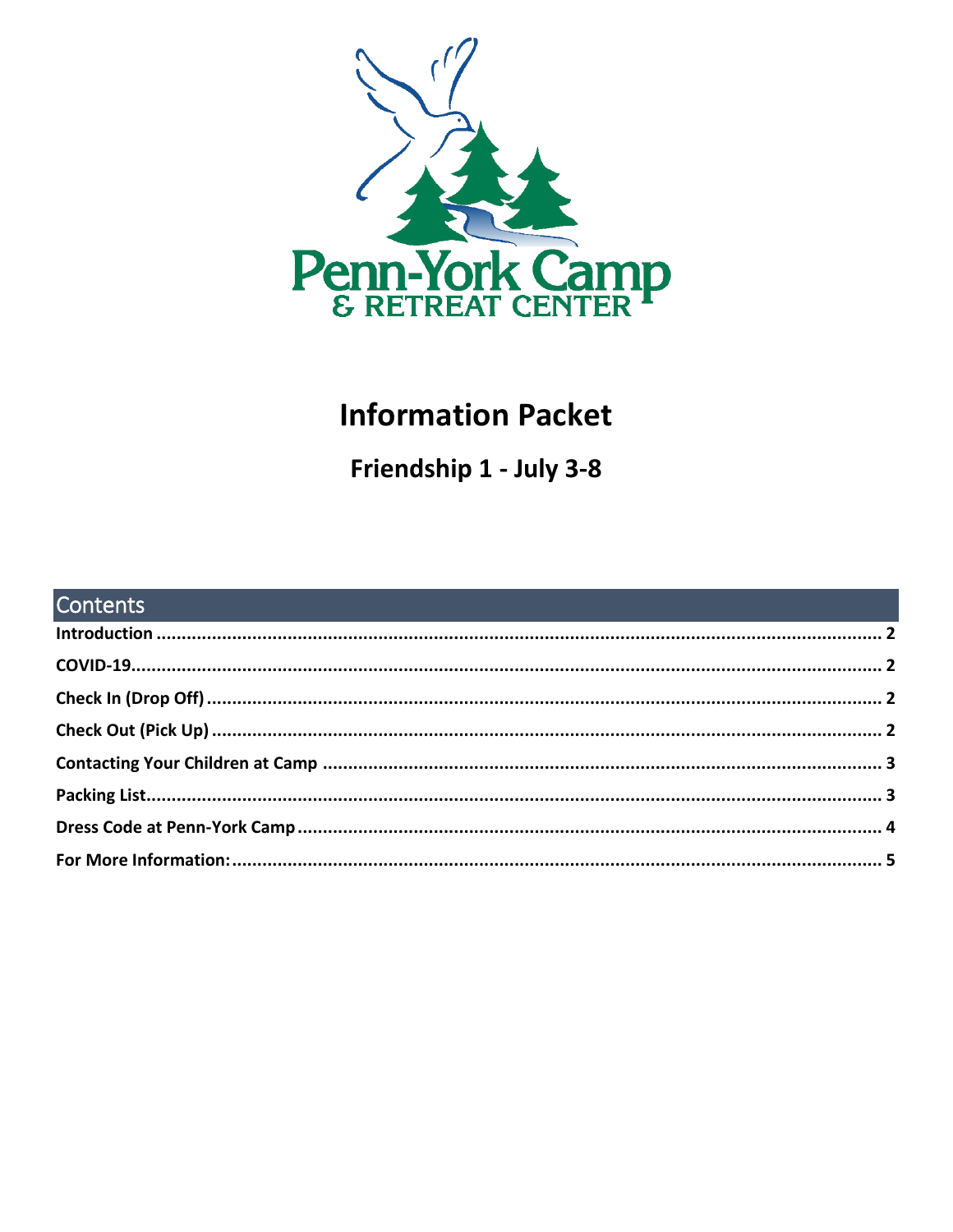

# **Information Packet**

Friendship 1 - July 3-8

| <b>Contents Contents Contents Contents Contents and Contents and Contents and Contents and Contents and Contents and Contents and Contents and Contents and Contents and Contents and Contents and Contents and Contents</b> |  |
|------------------------------------------------------------------------------------------------------------------------------------------------------------------------------------------------------------------------------|--|
|                                                                                                                                                                                                                              |  |
|                                                                                                                                                                                                                              |  |
|                                                                                                                                                                                                                              |  |
|                                                                                                                                                                                                                              |  |
|                                                                                                                                                                                                                              |  |
|                                                                                                                                                                                                                              |  |
|                                                                                                                                                                                                                              |  |
|                                                                                                                                                                                                                              |  |
|                                                                                                                                                                                                                              |  |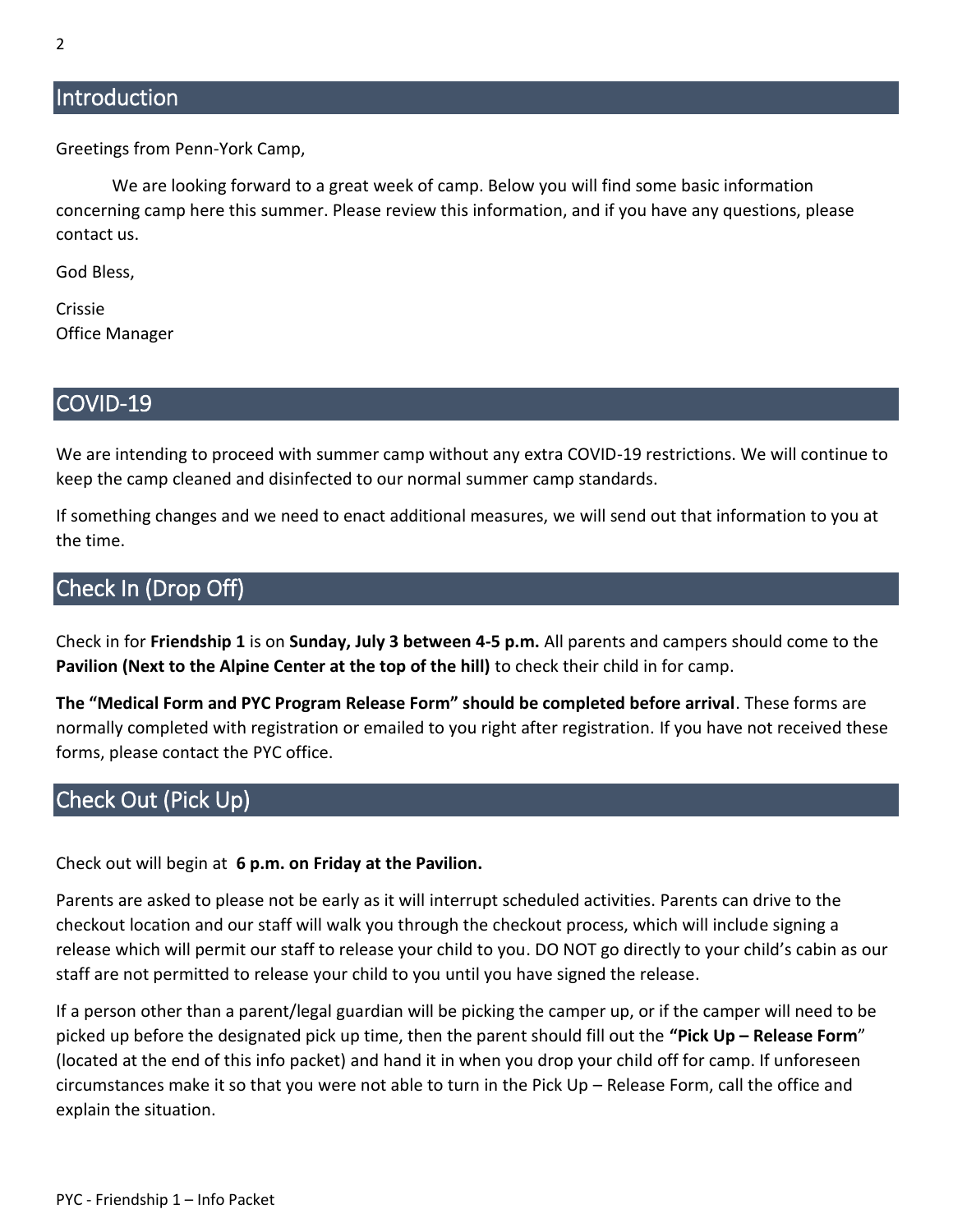### <span id="page-1-0"></span>**Introduction**

Greetings from Penn-York Camp,

We are looking forward to a great week of camp. Below you will find some basic information concerning camp here this summer. Please review this information, and if you have any questions, please contact us.

God Bless,

Crissie Office Manager

#### <span id="page-1-1"></span>COVID-19

We are intending to proceed with summer camp without any extra COVID-19 restrictions. We will continue to keep the camp cleaned and disinfected to our normal summer camp standards.

If something changes and we need to enact additional measures, we will send out that information to you at the time.

# <span id="page-1-2"></span>Check In (Drop Off)

Check in for **Friendship 1** is on **Sunday, July 3 between 4-5 p.m.** All parents and campers should come to the **Pavilion (Next to the Alpine Center at the top of the hill)** to check their child in for camp.

**The "Medical Form and PYC Program Release Form" should be completed before arrival**. These forms are normally completed with registration or emailed to you right after registration. If you have not received these forms, please contact the PYC office.

# <span id="page-1-3"></span>Check Out (Pick Up)

Check out will begin at **6 p.m. on Friday at the Pavilion.**

Parents are asked to please not be early as it will interrupt scheduled activities. Parents can drive to the checkout location and our staff will walk you through the checkout process, which will include signing a release which will permit our staff to release your child to you. DO NOT go directly to your child's cabin as our staff are not permitted to release your child to you until you have signed the release.

If a person other than a parent/legal guardian will be picking the camper up, or if the camper will need to be picked up before the designated pick up time, then the parent should fill out the **"Pick Up – Release Form**" (located at the end of this info packet) and hand it in when you drop your child off for camp. If unforeseen circumstances make it so that you were not able to turn in the Pick Up – Release Form, call the office and explain the situation.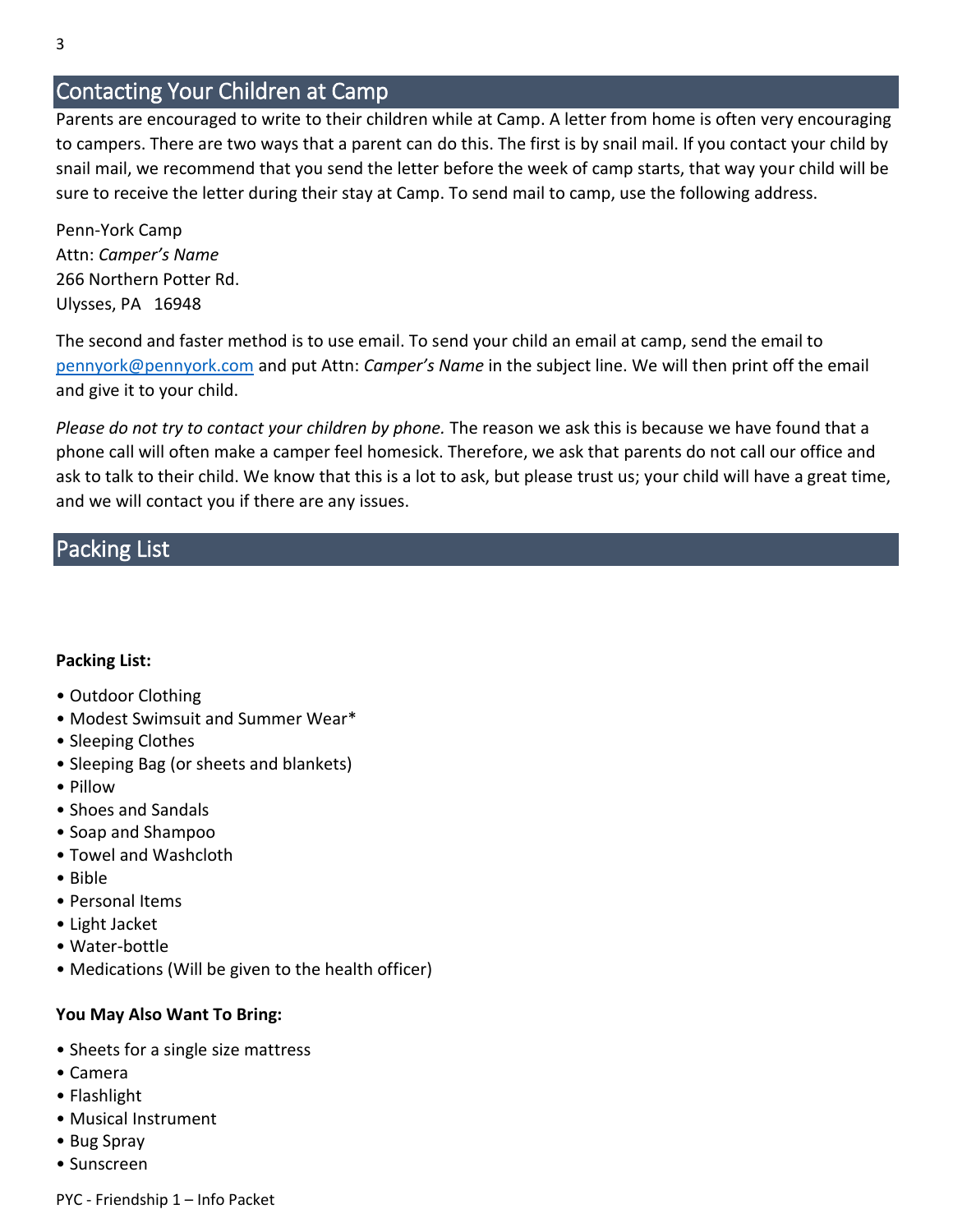# <span id="page-2-0"></span>Contacting Your Children at Camp

Parents are encouraged to write to their children while at Camp. A letter from home is often very encouraging to campers. There are two ways that a parent can do this. The first is by snail mail. If you contact your child by snail mail, we recommend that you send the letter before the week of camp starts, that way your child will be sure to receive the letter during their stay at Camp. To send mail to camp, use the following address.

Penn-York Camp Attn: *Camper's Name* 266 Northern Potter Rd. Ulysses, PA 16948

The second and faster method is to use email. To send your child an email at camp, send the email to [pennyork@pennyork.com](mailto:pennyork@pennyork.com) and put Attn: *Camper's Name* in the subject line. We will then print off the email and give it to your child.

*Please do not try to contact your children by phone.* The reason we ask this is because we have found that a phone call will often make a camper feel homesick. Therefore, we ask that parents do not call our office and ask to talk to their child. We know that this is a lot to ask, but please trust us; your child will have a great time, and we will contact you if there are any issues.

# <span id="page-2-1"></span>Packing List

#### **Packing List:**

- Outdoor Clothing
- Modest Swimsuit and Summer Wear\*
- Sleeping Clothes
- Sleeping Bag (or sheets and blankets)
- Pillow
- Shoes and Sandals
- Soap and Shampoo
- Towel and Washcloth
- Bible
- Personal Items
- Light Jacket
- Water-bottle
- Medications (Will be given to the health officer)

#### **You May Also Want To Bring:**

- Sheets for a single size mattress
- Camera
- Flashlight
- Musical Instrument
- Bug Spray
- Sunscreen

PYC - Friendship 1 – Info Packet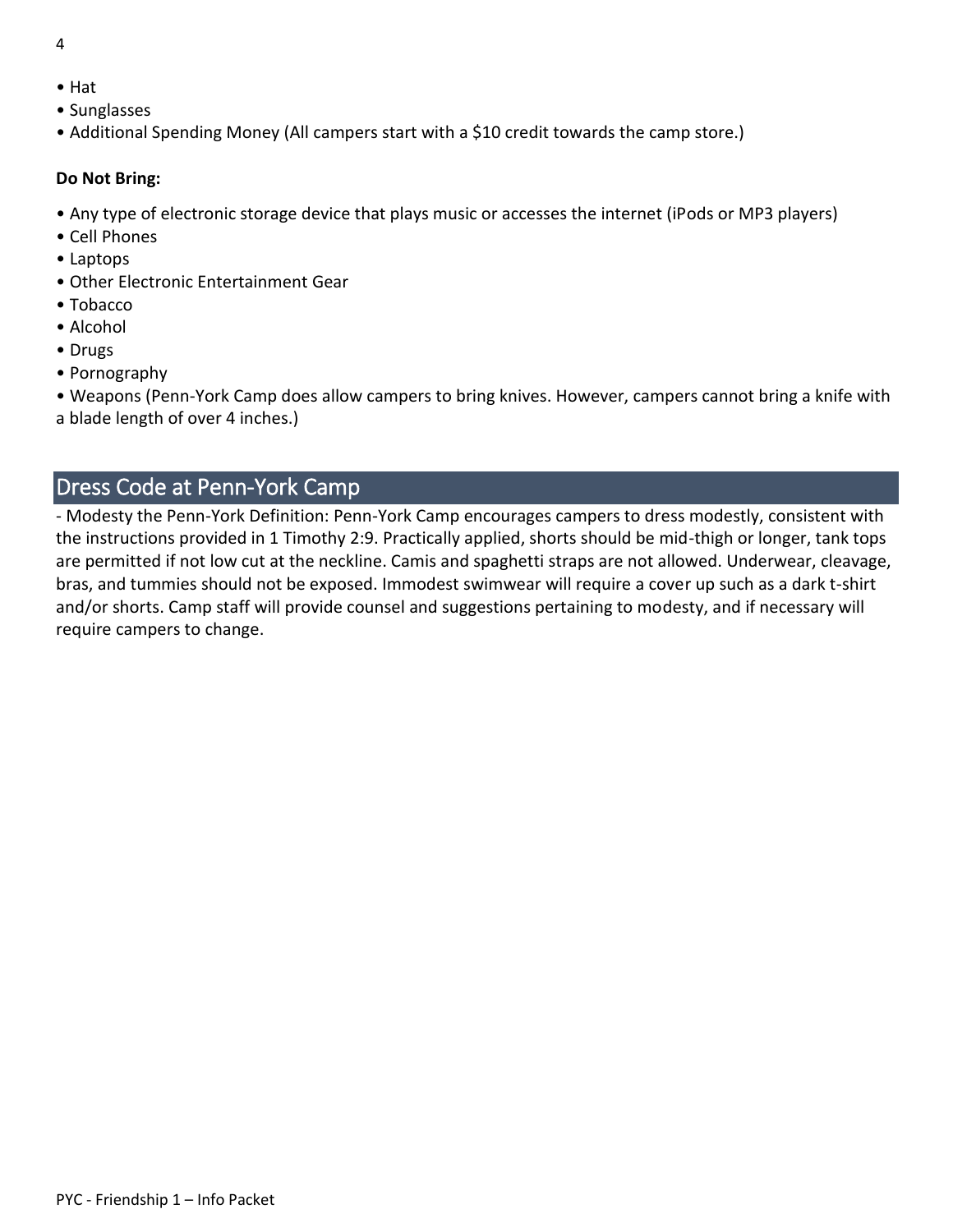- 4
- Hat
- Sunglasses
- Additional Spending Money (All campers start with a \$10 credit towards the camp store.)

#### **Do Not Bring:**

- Any type of electronic storage device that plays music or accesses the internet (iPods or MP3 players)
- Cell Phones
- Laptops
- Other Electronic Entertainment Gear
- Tobacco
- Alcohol
- Drugs
- Pornography

• Weapons (Penn-York Camp does allow campers to bring knives. However, campers cannot bring a knife with a blade length of over 4 inches.)

# <span id="page-3-0"></span>Dress Code at Penn-York Camp

- Modesty the Penn-York Definition: Penn-York Camp encourages campers to dress modestly, consistent with the instructions provided in 1 Timothy 2:9. Practically applied, shorts should be mid-thigh or longer, tank tops are permitted if not low cut at the neckline. Camis and spaghetti straps are not allowed. Underwear, cleavage, bras, and tummies should not be exposed. Immodest swimwear will require a cover up such as a dark t-shirt and/or shorts. Camp staff will provide counsel and suggestions pertaining to modesty, and if necessary will require campers to change.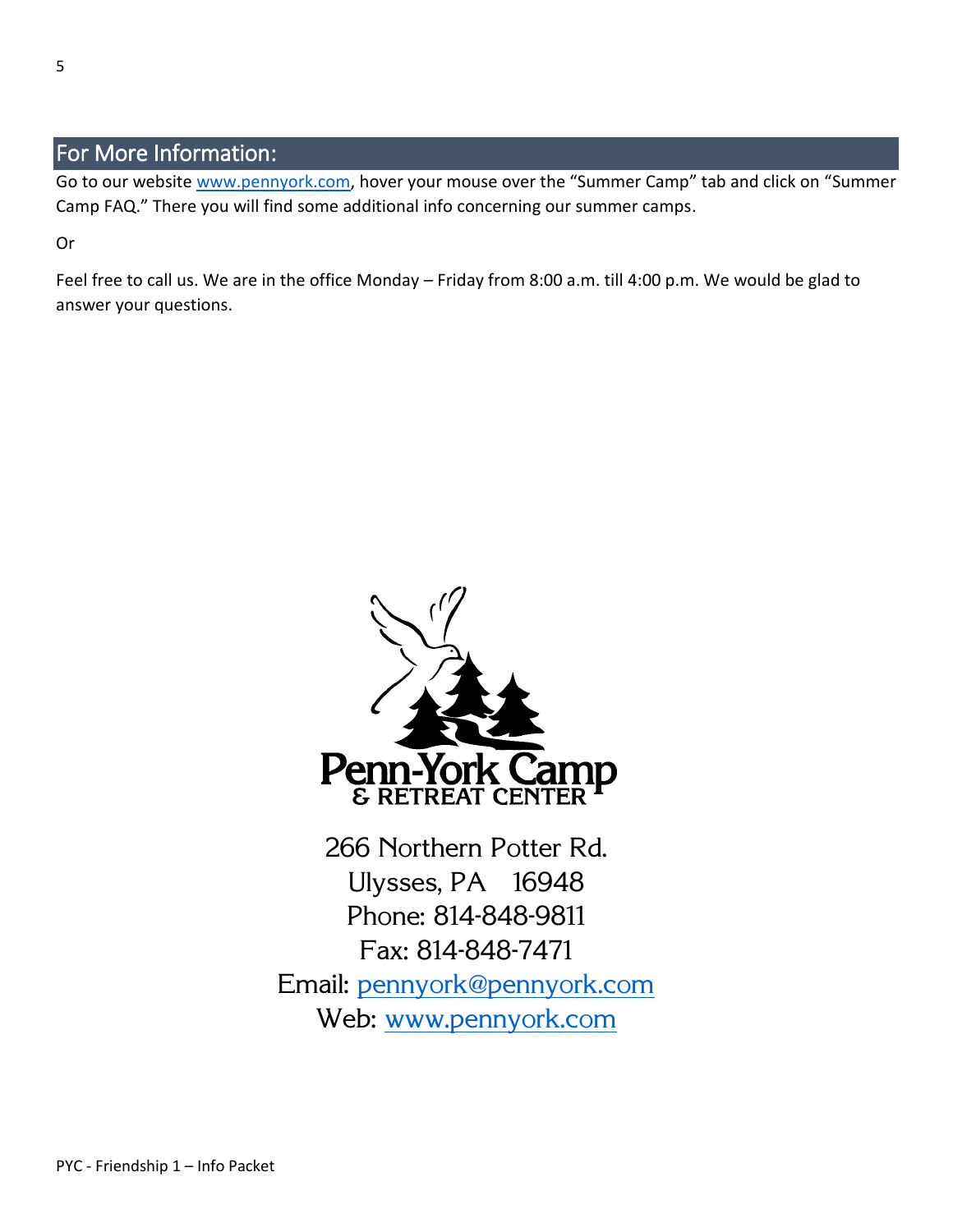# <span id="page-4-0"></span>For More Information:

Go to our website [www.pennyork.com,](http://www.pennyork.com/) hover your mouse over the "Summer Camp" tab and click on "Summer Camp FAQ." There you will find some additional info concerning our summer camps.

Or

Feel free to call us. We are in the office Monday – Friday from 8:00 a.m. till 4:00 p.m. We would be glad to answer your questions.